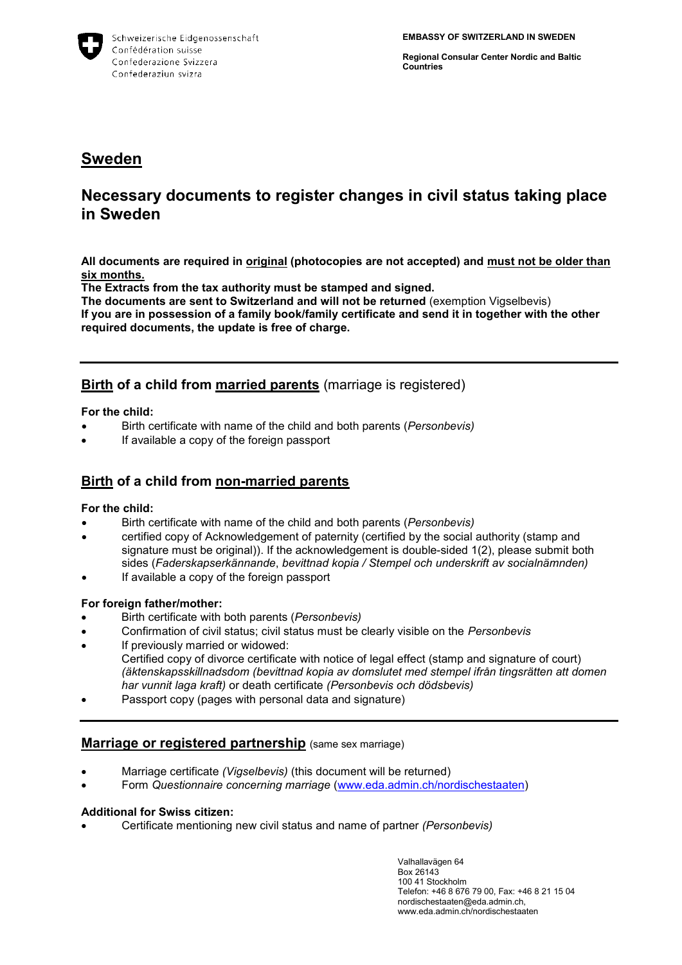

**Regional Consular Center Nordic and Baltic Countries**

## **Sweden**

# **Necessary documents to register changes in civil status taking place in Sweden**

**All documents are required in original (photocopies are not accepted) and must not be older than six months.**

**The Extracts from the tax authority must be stamped and signed.**

**The documents are sent to Switzerland and will not be returned** (exemption Vigselbevis) **If you are in possession of a family book/family certificate and send it in together with the other required documents, the update is free of charge.** 

## **Birth of a child from married parents** (marriage is registered)

## **For the child:**

- Birth certificate with name of the child and both parents (*Personbevis)*
- If available a copy of the foreign passport

## **Birth of a child from non-married parents**

## **For the child:**

- Birth certificate with name of the child and both parents (*Personbevis)*
- certified copy of Acknowledgement of paternity (certified by the social authority (stamp and signature must be original)). If the acknowledgement is double-sided 1(2), please submit both sides (*Faderskapserkännande*, *bevittnad kopia / Stempel och underskrift av socialnämnden)*
- If available a copy of the foreign passport

## **For foreign father/mother:**

- Birth certificate with both parents (*Personbevis)*
- Confirmation of civil status; civil status must be clearly visible on the *Personbevis*
- If previously married or widowed: Certified copy of divorce certificate with notice of legal effect (stamp and signature of court) *(äktenskapsskillnadsdom (bevittnad kopia av domslutet med stempel ifrån tingsrätten att domen har vunnit laga kraft)* or death certificate *(Personbevis och dödsbevis)*
- Passport copy (pages with personal data and signature)

## **Marriage or registered partnership** (same sex marriage)

- Marriage certificate *(Vigselbevis)* (this document will be returned)
- Form *Questionnaire concerning marriage* [\(www.eda.admin.ch/nordischestaaten\)](http://www.eda.admin.ch/nordischestaaten)

## **Additional for Swiss citizen:**

Certificate mentioning new civil status and name of partner *(Personbevis)*

Valhallavägen 64 Box 26143 100 41 Stockholm Telefon: +46 8 676 79 00, Fax: +46 8 21 15 04 nordischestaaten@eda.admin.ch, www.eda.admin.ch/nordischestaaten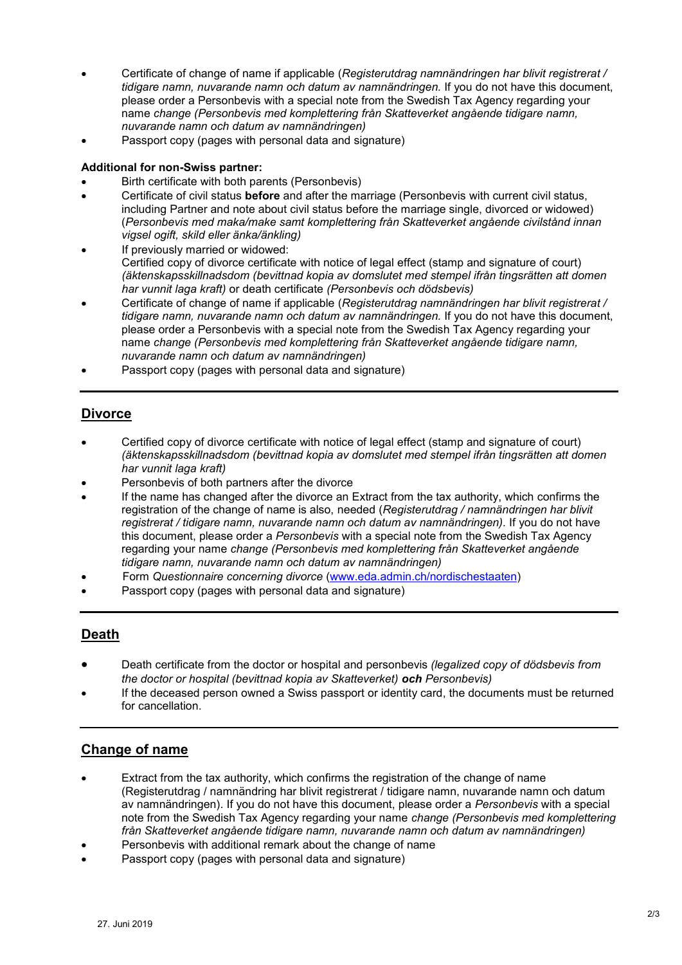- Certificate of change of name if applicable (*Registerutdrag namnändringen har blivit registrerat / tidigare namn, nuvarande namn och datum av namnändringen.* If you do not have this document, please order a Personbevis with a special note from the Swedish Tax Agency regarding your name *change (Personbevis med komplettering från Skatteverket angående tidigare namn, nuvarande namn och datum av namnändringen)*
- Passport copy (pages with personal data and signature)

## **Additional for non-Swiss partner:**

- Birth certificate with both parents (Personbevis)
- Certificate of civil status **before** and after the marriage (Personbevis with current civil status, including Partner and note about civil status before the marriage single, divorced or widowed) (*Personbevis med maka/make samt komplettering från Skatteverket angående civilstånd innan vigsel ogift, skild eller änka/änkling)*
- If previously married or widowed: Certified copy of divorce certificate with notice of legal effect (stamp and signature of court) *(äktenskapsskillnadsdom (bevittnad kopia av domslutet med stempel ifrån tingsrätten att domen har vunnit laga kraft)* or death certificate *(Personbevis och dödsbevis)*
- Certificate of change of name if applicable (*Registerutdrag namnändringen har blivit registrerat / tidigare namn, nuvarande namn och datum av namnändringen.* If you do not have this document, please order a Personbevis with a special note from the Swedish Tax Agency regarding your name *change (Personbevis med komplettering från Skatteverket angående tidigare namn, nuvarande namn och datum av namnändringen)*
- Passport copy (pages with personal data and signature)

## **Divorce**

- Certified copy of divorce certificate with notice of legal effect (stamp and signature of court) *(äktenskapsskillnadsdom (bevittnad kopia av domslutet med stempel ifrån tingsrätten att domen har vunnit laga kraft)*
- Personbevis of both partners after the divorce
- If the name has changed after the divorce an Extract from the tax authority, which confirms the registration of the change of name is also, needed (*Registerutdrag / namnändringen har blivit registrerat / tidigare namn, nuvarande namn och datum av namnändringen).* If you do not have this document, please order a *Personbevis* with a special note from the Swedish Tax Agency regarding your name *change (Personbevis med komplettering från Skatteverket angående tidigare namn, nuvarande namn och datum av namnändringen)*
- Form *Questionnaire concerning divorce* [\(www.eda.admin.ch/nordischestaaten\)](http://www.eda.admin.ch/nordischestaaten)
- Passport copy (pages with personal data and signature)

## **Death**

- Death certificate from the doctor or hospital and personbevis *(legalized copy of dödsbevis from the doctor or hospital (bevittnad kopia av Skatteverket) och Personbevis)*
- If the deceased person owned a Swiss passport or identity card, the documents must be returned for cancellation.

## **Change of name**

- Extract from the tax authority, which confirms the registration of the change of name (Registerutdrag / namnändring har blivit registrerat / tidigare namn, nuvarande namn och datum av namnändringen). If you do not have this document, please order a *Personbevis* with a special note from the Swedish Tax Agency regarding your name *change (Personbevis med komplettering från Skatteverket angående tidigare namn, nuvarande namn och datum av namnändringen)*
- Personbevis with additional remark about the change of name
- Passport copy (pages with personal data and signature)